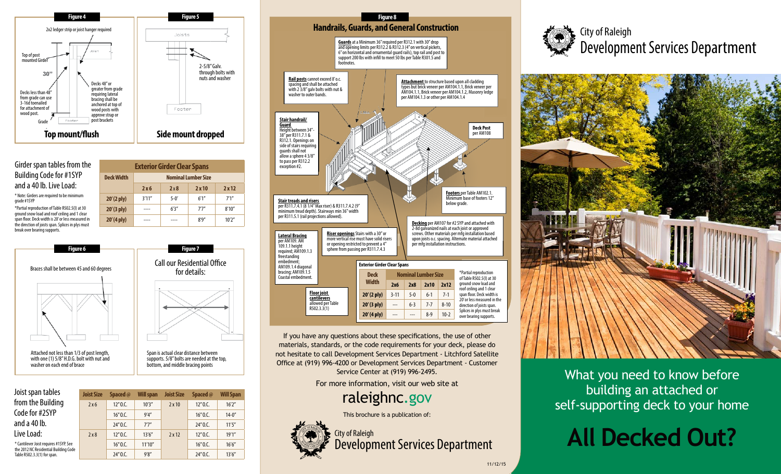

#### Girder span tables from the Building Code for #1SYP and a 40 lb. Live Load:

\* Note: Girders are required to be minimum grade #1SYP

\*Partial reproduction of Table R502.5(I) at 30 ground snow load and roof ceiling and 1 clear span floor. Deck width is 20' or less measured in the direction of joists span. Splices in plys must break over bearing supports.

| <b>Deck Width</b>    | <b>Nominal Lumber Size</b> |          |       |        |
|----------------------|----------------------------|----------|-------|--------|
|                      | 2x6                        | 2x8      | 2x10  | 2x12   |
| $20'(2 \text{ ply})$ | 3'11''                     | $5 - 0'$ | 6'1'' | 7'1''  |
| $20'(3$ ply)         |                            | 6'3''    | 7'7'' | 8'10'' |
| $20'(4 \text{ ply})$ |                            |          | 8'9'' | 10'2'' |
|                      |                            |          |       |        |

**Exterior Girder Clear Spans**



| Joist span tables                                                                                              |
|----------------------------------------------------------------------------------------------------------------|
| from the Building                                                                                              |
| Code for #2SYP                                                                                                 |
| and a 40 lb.                                                                                                   |
| Live Load:                                                                                                     |
| * Cantilever Joist requires #1SYP. See<br>the 2012 NC Residential Building Code<br>Table R502.3.3(1) for span. |

| Joist Size | <b>Spaced</b> @ | Will span | <b>Joist Size</b> | Spaced @ | <b>Will Span</b> |
|------------|-----------------|-----------|-------------------|----------|------------------|
| 2x6        | 12"0.C.         | 10'3''    | $2 \times 10$     | 12"0.C.  | 16'2''           |
|            | 16"0.C.         | 9'4''     |                   | 16"0.C.  | $14 - 0$ "       |
|            | $24''$ O.C.     | 7'7''     |                   | 24"0.C.  | 11'5''           |
| 2x8        | 12"0.C.         | 13'6''    | $2 \times 12$     | 12"0.C.  | 19'1''           |
|            | 16"0.C.         | 11'10''   |                   | 16"0.C.  | 16'6''           |
|            | 24"0.C.         | 9'8''     |                   | 24" O.C. | 13'6''           |



If you have any questions about these specifications, the use of other materials, standards, or the code requirements for your deck, please do not hesitate to call Development Services Department - Litchford Satellite Office at (919) 996-4200 or Development Services Department - Customer Service Center at (919) 996-2495.

For more information, visit our web site at

raleighnc.gov

This brochure is a publication of:





City of Raleigh Development Services Department



What you need to know before building an attached or self-supporting deck to your home

# **All Decked Out?**